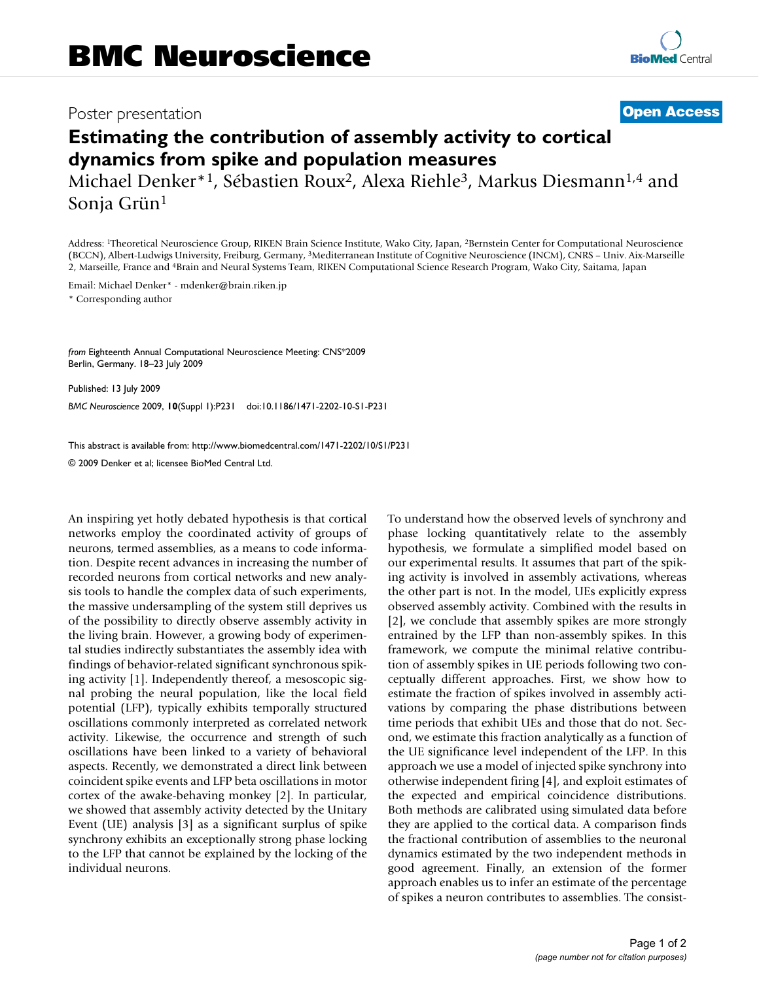## Poster presentation **Contract Contract Contract Contract Contract Contract Contract Contract Contract Contract Contract Contract Contract Contract Contract Contract Contract Contract Contract Contract Contract Contract Con**

## **Estimating the contribution of assembly activity to cortical dynamics from spike and population measures**

Michael Denker<sup>\*1</sup>, Sébastien Roux<sup>2</sup>, Alexa Riehle<sup>3</sup>, Markus Diesmann<sup>1,4</sup> and Sonja Grün1

Address: 1Theoretical Neuroscience Group, RIKEN Brain Science Institute, Wako City, Japan, 2Bernstein Center for Computational Neuroscience (BCCN), Albert-Ludwigs University, Freiburg, Germany, 3Mediterranean Institute of Cognitive Neuroscience (INCM), CNRS – Univ. Aix-Marseille 2, Marseille, France and 4Brain and Neural Systems Team, RIKEN Computational Science Research Program, Wako City, Saitama, Japan

Email: Michael Denker\* - mdenker@brain.riken.jp

\* Corresponding author

*from* Eighteenth Annual Computational Neuroscience Meeting: CNS\*2009 Berlin, Germany. 18–23 July 2009

Published: 13 July 2009 *BMC Neuroscience* 2009, **10**(Suppl 1):P231 doi:10.1186/1471-2202-10-S1-P231

[This abstract is available from: http://www.biomedcentral.com/1471-2202/10/S1/P231](http://www.biomedcentral.com/1471-2202/10/S1/P231)

© 2009 Denker et al; licensee BioMed Central Ltd.

An inspiring yet hotly debated hypothesis is that cortical networks employ the coordinated activity of groups of neurons, termed assemblies, as a means to code information. Despite recent advances in increasing the number of recorded neurons from cortical networks and new analysis tools to handle the complex data of such experiments, the massive undersampling of the system still deprives us of the possibility to directly observe assembly activity in the living brain. However, a growing body of experimental studies indirectly substantiates the assembly idea with findings of behavior-related significant synchronous spiking activity [1]. Independently thereof, a mesoscopic signal probing the neural population, like the local field potential (LFP), typically exhibits temporally structured oscillations commonly interpreted as correlated network activity. Likewise, the occurrence and strength of such oscillations have been linked to a variety of behavioral aspects. Recently, we demonstrated a direct link between coincident spike events and LFP beta oscillations in motor cortex of the awake-behaving monkey [2]. In particular, we showed that assembly activity detected by the Unitary Event (UE) analysis [3] as a significant surplus of spike synchrony exhibits an exceptionally strong phase locking to the LFP that cannot be explained by the locking of the individual neurons.

To understand how the observed levels of synchrony and phase locking quantitatively relate to the assembly hypothesis, we formulate a simplified model based on our experimental results. It assumes that part of the spiking activity is involved in assembly activations, whereas the other part is not. In the model, UEs explicitly express observed assembly activity. Combined with the results in [2], we conclude that assembly spikes are more strongly entrained by the LFP than non-assembly spikes. In this framework, we compute the minimal relative contribution of assembly spikes in UE periods following two conceptually different approaches. First, we show how to estimate the fraction of spikes involved in assembly activations by comparing the phase distributions between time periods that exhibit UEs and those that do not. Second, we estimate this fraction analytically as a function of the UE significance level independent of the LFP. In this approach we use a model of injected spike synchrony into otherwise independent firing [4], and exploit estimates of the expected and empirical coincidence distributions. Both methods are calibrated using simulated data before they are applied to the cortical data. A comparison finds the fractional contribution of assemblies to the neuronal dynamics estimated by the two independent methods in good agreement. Finally, an extension of the former approach enables us to infer an estimate of the percentage of spikes a neuron contributes to assemblies. The consist-